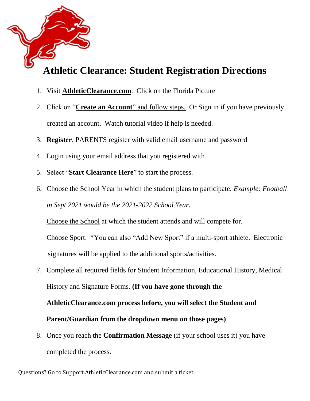

# **Athletic Clearance: Student Registration Directions**

- 1. Visit **AthleticClearance.com**. Click on the Florida Picture
- 2. Click on "**Create an Account**" and follow steps. Or Sign in if you have previously created an account. Watch tutorial video if help is needed.
- 3. **Register**. PARENTS register with valid email username and password
- 4. Login using your email address that you registered with
- 5. Select "**Start Clearance Here**" to start the process.
- 6. Choose the School Year in which the student plans to participate. *Example: Football in Sept 2021 would be the 2021-2022 School Year.*

Choose the School at which the student attends and will compete for.

Choose Sport. \*You can also "Add New Sport" if a multi-sport athlete. Electronic signatures will be applied to the additional sports/activities.

- 7. Complete all required fields for Student Information, Educational History, Medical History and Signature Forms. **(If you have gone through the AthleticClearance.com process before, you will select the Student and Parent/Guardian from the dropdown menu on those pages)**
- 8. Once you reach the **Confirmation Message** (if your school uses it) you have completed the process.